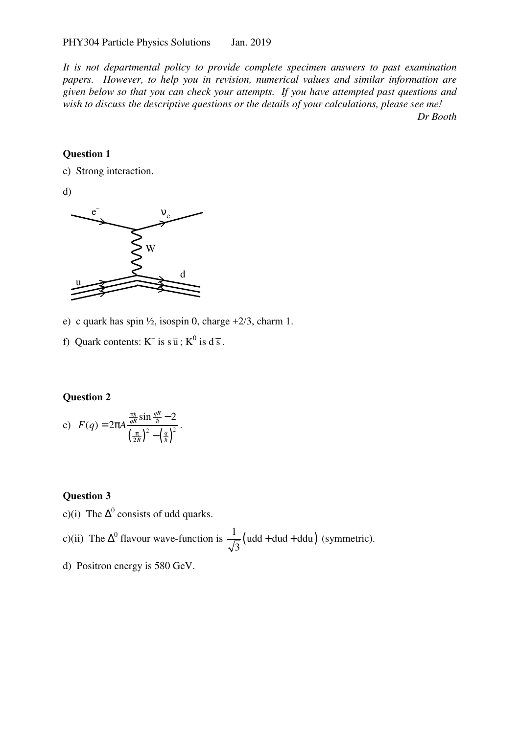*It is not departmental policy to provide complete specimen answers to past examination papers. However, to help you in revision, numerical values and similar information are given below so that you can check your attempts. If you have attempted past questions and wish to discuss the descriptive questions or the details of your calculations, please see me! Dr Booth* 

#### **Question 1**

c) Strong interaction.

d)



e) c quark has spin  $\frac{1}{2}$ , isospin 0, charge  $\pm$  2/3, charm 1.

.

f) Quark contents:  $K^-$  is  $s\overline{u}$ ;  $K^0$  is  $d\overline{s}$ .

### **Question 2**

c) 
$$
F(q) = 2\pi A \frac{\frac{\pi \hbar}{qR} \sin \frac{qR}{\hbar} - 2}{\left(\frac{\pi}{2R}\right)^2 - \left(\frac{q}{\hbar}\right)^2}
$$

### **Question 3**

c)(i) The  $\Delta^0$  consists of udd quarks.

c)(ii) The  $\Delta^0$  flavour wave-function is  $\frac{1}{\sqrt{2}}$  (udd + dud + ddu) 3  $+$  dud  $+$  ddu) (symmetric).

d) Positron energy is 580 GeV.